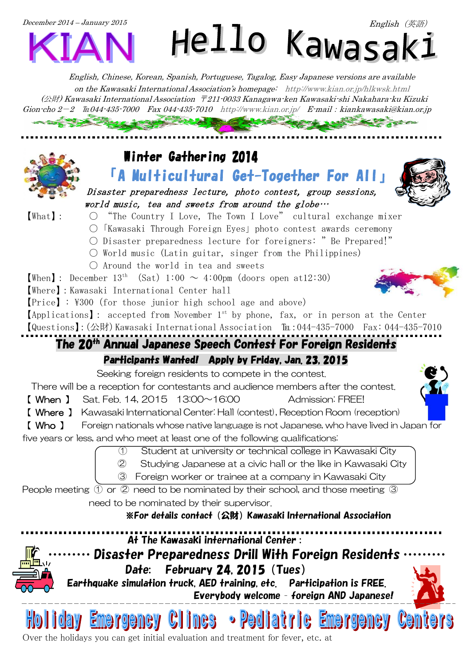

English, Chinese, Korean, Spanish, Portuguese, Tagalog, Easy Japanese versions are available on the Kawasaki International Association's homepage: <http://www.kian.or.jp/hlkwsk.html>  $(\triangle \nexists t)$  Kawasaki International Association 〒211-0033 Kanagawa-ken Kawasaki-shi Nakahara-ku Kizuki  $G$ ion-cho  $2-2$  Eu044-435-7000 Fax 044-435-7010 <http://www.kian.or.jp/>E-mail: kiankawasaki@kian.or.jp



## Winter Gathering 2014

「A Multicultural Get-Together For All」



- 【What】: "The Country I Love, The Town I Love" cultural exchange mixer
	- ○「Kawasaki Through Foreign Eyes」photo contest awards ceremony
	- Disaster preparedness lecture for foreigners: "Be Prepared!"

Disaster preparedness lecture, photo contest, group sessions,

 $\circlearrowright$  World music (Latin guitar, singer from the Philippines)

 $world$  music, tea and sweets from around the globe...

 $\bigcirc$  Around the world in tea and sweets

**[When]**: December  $13<sup>th</sup>$  (Sat)  $1:00 \sim 4:00$ pm (doors open at12:30)

【Where】:Kawasaki International Center hall

【Price】: \300(for those junior high school age and above)

 $[Applications]$ : accepted from November 1<sup>st</sup> by phone, fax, or in person at the Center 【Questions】:(公財)Kawasaki International Association [u:044-435-7000 Fax:044-435-7010

# The 20<sup>th</sup> Annual Japanese Speech Contest For Foreign Residents

#### Participants Wanted! Apply by Friday, Jan. 23, 2015

Seeking foreign residents to compete in the contest.

There will be a reception for contestants and audience members after the contest.

【 When 】 Sat. Feb. 14, 2015 13:00~16:00 Admission: FREE!

【 Where 】 Kawasaki International Center: Hall (contest), Reception Room (reception)

【 Who 】 Foreign nationals whose native language is not Japanese, who have lived in Japan for

five years or less, and who meet at least one of the following qualifications:

① Student at university or technical college in Kawasaki City ② Studying Japanese at a civic hall or the like in Kawasaki City

③ Foreign worker or trainee at a company in Kawasaki City

People meeting ① or ② need to be nominated by their school, and those meeting ③ need to be nominated by their supervisor.

※For details contact(公財)Kawasaki International Association





Over the holidays you can get initial evaluation and treatment for fever, etc. at